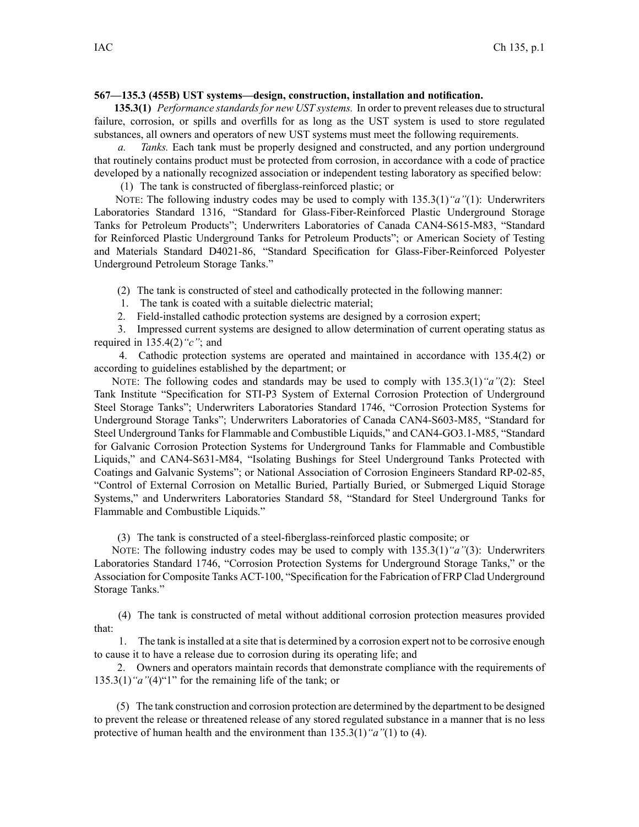### **567—135.3 (455B) UST systems—design, construction, installation and notification.**

**135.3(1)** *Performance standardsfor new UST systems.* In order to preven<sup>t</sup> releases due to structural failure, corrosion, or spills and overfills for as long as the UST system is used to store regulated substances, all owners and operators of new UST systems must meet the following requirements.

*a. Tanks.* Each tank must be properly designed and constructed, and any portion underground that routinely contains product must be protected from corrosion, in accordance with <sup>a</sup> code of practice developed by <sup>a</sup> nationally recognized association or independent testing laboratory as specified below:

(1) The tank is constructed of fiberglass-reinforced plastic; or

NOTE: The following industry codes may be used to comply with 135.3(1)*"a"*(1): Underwriters Laboratories Standard 1316, "Standard for Glass-Fiber-Reinforced Plastic Underground Storage Tanks for Petroleum Products"; Underwriters Laboratories of Canada CAN4-S615-M83, "Standard for Reinforced Plastic Underground Tanks for Petroleum Products"; or American Society of Testing and Materials Standard D4021-86, "Standard Specification for Glass-Fiber-Reinforced Polyester Underground Petroleum Storage Tanks."

(2) The tank is constructed of steel and cathodically protected in the following manner:

- 1. The tank is coated with <sup>a</sup> suitable dielectric material;
- 2. Field-installed cathodic protection systems are designed by <sup>a</sup> corrosion expert;

3. Impressed current systems are designed to allow determination of current operating status as required in 135.4(2)*"c"*; and

4. Cathodic protection systems are operated and maintained in accordance with 135.4(2) or according to guidelines established by the department; or

NOTE: The following codes and standards may be used to comply with 135.3(1)*"a"*(2): Steel Tank Institute "Specification for STI-P3 System of External Corrosion Protection of Underground Steel Storage Tanks"; Underwriters Laboratories Standard 1746, "Corrosion Protection Systems for Underground Storage Tanks"; Underwriters Laboratories of Canada CAN4-S603-M85, "Standard for Steel Underground Tanks for Flammable and Combustible Liquids," and CAN4-GO3.1-M85, "Standard for Galvanic Corrosion Protection Systems for Underground Tanks for Flammable and Combustible Liquids," and CAN4-S631-M84, "Isolating Bushings for Steel Underground Tanks Protected with Coatings and Galvanic Systems"; or National Association of Corrosion Engineers Standard RP-02-85, "Control of External Corrosion on Metallic Buried, Partially Buried, or Submerged Liquid Storage Systems," and Underwriters Laboratories Standard 58, "Standard for Steel Underground Tanks for Flammable and Combustible Liquids."

(3) The tank is constructed of <sup>a</sup> steel-fiberglass-reinforced plastic composite; or

NOTE: The following industry codes may be used to comply with 135.3(1)*"a"*(3): Underwriters Laboratories Standard 1746, "Corrosion Protection Systems for Underground Storage Tanks," or the Association for Composite Tanks ACT-100, "Specification for the Fabrication of FRP Clad Underground Storage Tanks."

(4) The tank is constructed of metal without additional corrosion protection measures provided that:

1. The tank isinstalled at <sup>a</sup> site that is determined by <sup>a</sup> corrosion exper<sup>t</sup> not to be corrosive enough to cause it to have <sup>a</sup> release due to corrosion during its operating life; and

2. Owners and operators maintain records that demonstrate compliance with the requirements of 135.3(1)*"a"*(4)"1" for the remaining life of the tank; or

(5) The tank construction and corrosion protection are determined by the department to be designed to preven<sup>t</sup> the release or threatened release of any stored regulated substance in <sup>a</sup> manner that is no less protective of human health and the environment than 135.3(1)*"a"*(1) to (4).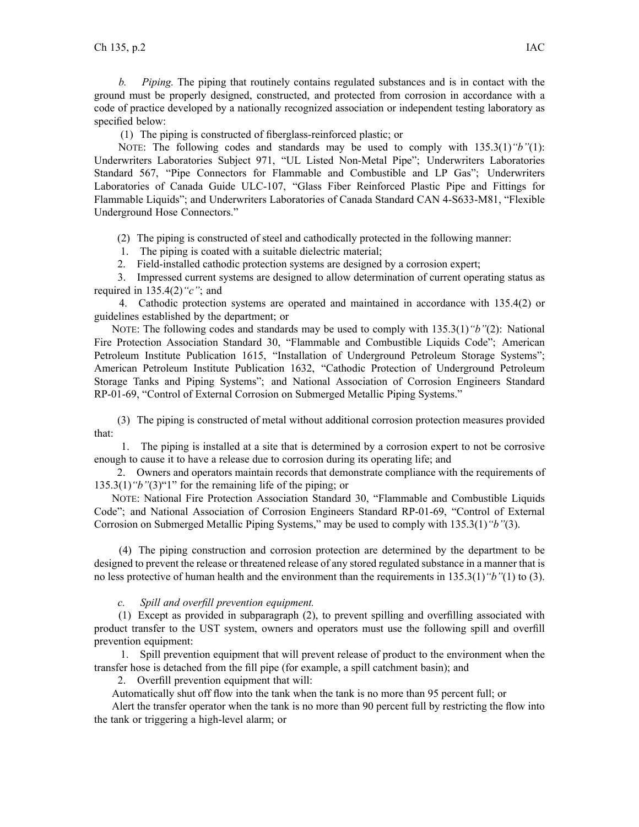*b. Piping.* The piping that routinely contains regulated substances and is in contact with the ground must be properly designed, constructed, and protected from corrosion in accordance with <sup>a</sup> code of practice developed by <sup>a</sup> nationally recognized association or independent testing laboratory as specified below:

(1) The piping is constructed of fiberglass-reinforced plastic; or

NOTE: The following codes and standards may be used to comply with 135.3(1)*"b"*(1): Underwriters Laboratories Subject 971, "UL Listed Non-Metal Pipe"; Underwriters Laboratories Standard 567, "Pipe Connectors for Flammable and Combustible and LP Gas"; Underwriters Laboratories of Canada Guide ULC-107, "Glass Fiber Reinforced Plastic Pipe and Fittings for Flammable Liquids"; and Underwriters Laboratories of Canada Standard CAN 4-S633-M81, "Flexible Underground Hose Connectors."

(2) The piping is constructed of steel and cathodically protected in the following manner:

1. The piping is coated with <sup>a</sup> suitable dielectric material;

2. Field-installed cathodic protection systems are designed by <sup>a</sup> corrosion expert;

3. Impressed current systems are designed to allow determination of current operating status as required in 135.4(2)*"c"*; and

4. Cathodic protection systems are operated and maintained in accordance with 135.4(2) or guidelines established by the department; or

NOTE: The following codes and standards may be used to comply with 135.3(1)*"b"*(2): National Fire Protection Association Standard 30, "Flammable and Combustible Liquids Code"; American Petroleum Institute Publication 1615, "Installation of Underground Petroleum Storage Systems"; American Petroleum Institute Publication 1632, "Cathodic Protection of Underground Petroleum Storage Tanks and Piping Systems"; and National Association of Corrosion Engineers Standard RP-01-69, "Control of External Corrosion on Submerged Metallic Piping Systems."

(3) The piping is constructed of metal without additional corrosion protection measures provided that:

1. The piping is installed at <sup>a</sup> site that is determined by <sup>a</sup> corrosion exper<sup>t</sup> to not be corrosive enough to cause it to have <sup>a</sup> release due to corrosion during its operating life; and

2. Owners and operators maintain records that demonstrate compliance with the requirements of 135.3(1)*"b"*(3)"1" for the remaining life of the piping; or

NOTE: National Fire Protection Association Standard 30, "Flammable and Combustible Liquids Code"; and National Association of Corrosion Engineers Standard RP-01-69, "Control of External Corrosion on Submerged Metallic Piping Systems," may be used to comply with 135.3(1)*"b"*(3).

(4) The piping construction and corrosion protection are determined by the department to be designed to preven<sup>t</sup> the release or threatened release of any stored regulated substance in <sup>a</sup> manner that is no less protective of human health and the environment than the requirements in 135.3(1)*"b"*(1) to (3).

*c. Spill and overfill prevention equipment.*

(1) Except as provided in subparagraph (2), to preven<sup>t</sup> spilling and overfilling associated with product transfer to the UST system, owners and operators must use the following spill and overfill prevention equipment:

1. Spill prevention equipment that will preven<sup>t</sup> release of product to the environment when the transfer hose is detached from the fill pipe (for example, <sup>a</sup> spill catchment basin); and

2. Overfill prevention equipment that will:

Automatically shut off flow into the tank when the tank is no more than 95 percen<sup>t</sup> full; or

Alert the transfer operator when the tank is no more than 90 percen<sup>t</sup> full by restricting the flow into the tank or triggering <sup>a</sup> high-level alarm; or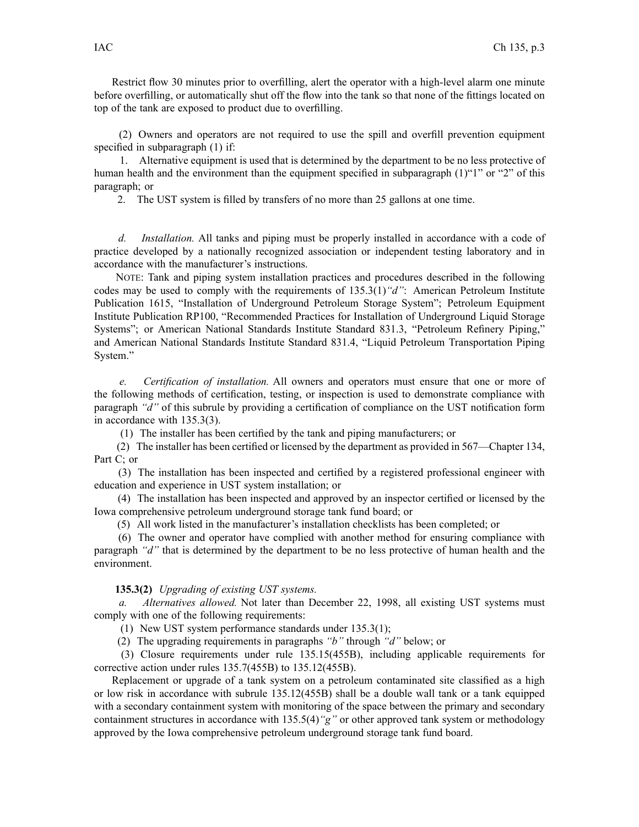Restrict flow 30 minutes prior to overfilling, alert the operator with <sup>a</sup> high-level alarm one minute before overfilling, or automatically shut off the flow into the tank so that none of the fittings located on top of the tank are exposed to product due to overfilling.

(2) Owners and operators are not required to use the spill and overfill prevention equipment specified in subparagraph (1) if:

1. Alternative equipment is used that is determined by the department to be no less protective of human health and the environment than the equipment specified in subparagraph (1)"1" or "2" of this paragraph; or

2. The UST system is filled by transfers of no more than 25 gallons at one time.

*d. Installation.* All tanks and piping must be properly installed in accordance with <sup>a</sup> code of practice developed by <sup>a</sup> nationally recognized association or independent testing laboratory and in accordance with the manufacturer's instructions.

NOTE: Tank and piping system installation practices and procedures described in the following codes may be used to comply with the requirements of 135.3(1)*"d"*: American Petroleum Institute Publication 1615, "Installation of Underground Petroleum Storage System"; Petroleum Equipment Institute Publication RP100, "Recommended Practices for Installation of Underground Liquid Storage Systems"; or American National Standards Institute Standard 831.3, "Petroleum Refinery Piping," and American National Standards Institute Standard 831.4, "Liquid Petroleum Transportation Piping System."

*e. Certification of installation.* All owners and operators must ensure that one or more of the following methods of certification, testing, or inspection is used to demonstrate compliance with paragraph *"d"* of this subrule by providing <sup>a</sup> certification of compliance on the UST notification form in accordance with 135.3(3).

(1) The installer has been certified by the tank and piping manufacturers; or

(2) The installer has been certified or licensed by the department as provided in 567—Chapter 134, Part C; or

(3) The installation has been inspected and certified by <sup>a</sup> registered professional engineer with education and experience in UST system installation; or

(4) The installation has been inspected and approved by an inspector certified or licensed by the Iowa comprehensive petroleum underground storage tank fund board; or

(5) All work listed in the manufacturer's installation checklists has been completed; or

(6) The owner and operator have complied with another method for ensuring compliance with paragraph *"d"* that is determined by the department to be no less protective of human health and the environment.

#### **135.3(2)** *Upgrading of existing UST systems.*

*a. Alternatives allowed.* Not later than December 22, 1998, all existing UST systems must comply with one of the following requirements:

(1) New UST system performance standards under 135.3(1);

(2) The upgrading requirements in paragraphs *"b"* through *"d"* below; or

(3) Closure requirements under rule 135.15(455B), including applicable requirements for corrective action under rules 135.7(455B) to 135.12(455B).

Replacement or upgrade of <sup>a</sup> tank system on <sup>a</sup> petroleum contaminated site classified as <sup>a</sup> high or low risk in accordance with subrule 135.12(455B) shall be <sup>a</sup> double wall tank or <sup>a</sup> tank equipped with <sup>a</sup> secondary containment system with monitoring of the space between the primary and secondary containment structures in accordance with 135.5(4)*"g"* or other approved tank system or methodology approved by the Iowa comprehensive petroleum underground storage tank fund board.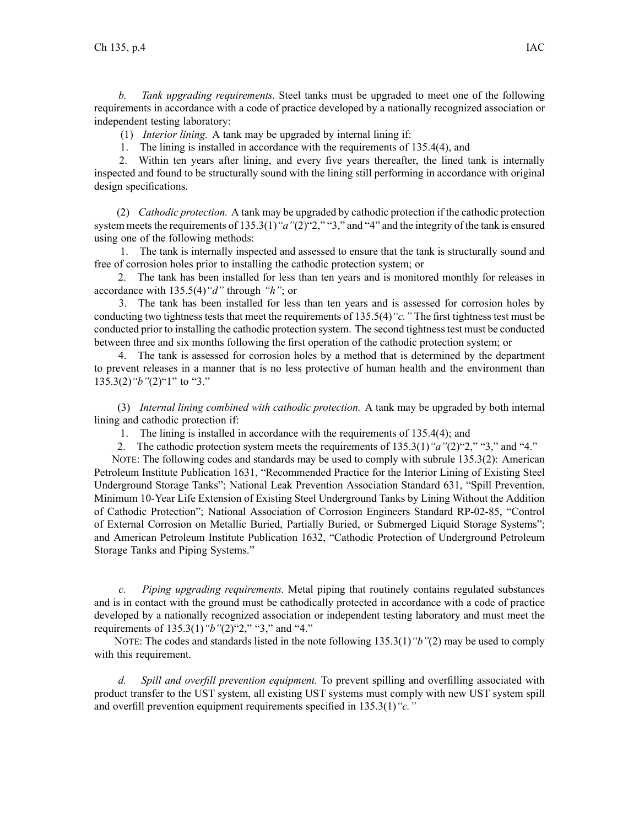*b. Tank upgrading requirements.* Steel tanks must be upgraded to meet one of the following requirements in accordance with <sup>a</sup> code of practice developed by <sup>a</sup> nationally recognized association or independent testing laboratory:

(1) *Interior lining.* A tank may be upgraded by internal lining if:

1. The lining is installed in accordance with the requirements of 135.4(4), and

2. Within ten years after lining, and every five years thereafter, the lined tank is internally inspected and found to be structurally sound with the lining still performing in accordance with original design specifications.

(2) *Cathodic protection.* A tank may be upgraded by cathodic protection if the cathodic protection system meets the requirements of 135.3(1) "a"(2)"2," "3," and "4" and the integrity of the tank is ensured using one of the following methods:

1. The tank is internally inspected and assessed to ensure that the tank is structurally sound and free of corrosion holes prior to installing the cathodic protection system; or

2. The tank has been installed for less than ten years and is monitored monthly for releases in accordance with 135.5(4)*"d"* through *"h"*; or

3. The tank has been installed for less than ten years and is assessed for corrosion holes by conducting two tightness tests that meet the requirements of 135.5(4)*"c."* The first tightness test must be conducted prior to installing the cathodic protection system. The second tightnesstest must be conducted between three and six months following the first operation of the cathodic protection system; or

4. The tank is assessed for corrosion holes by <sup>a</sup> method that is determined by the department to preven<sup>t</sup> releases in <sup>a</sup> manner that is no less protective of human health and the environment than 135.3(2)*"b"*(2)"1" to "3."

(3) *Internal lining combined with cathodic protection.* A tank may be upgraded by both internal lining and cathodic protection if:

1. The lining is installed in accordance with the requirements of 135.4(4); and

2. The cathodic protection system meets the requirements of 135.3(1)*"a"*(2)"2," "3," and "4."

NOTE: The following codes and standards may be used to comply with subrule 135.3(2): American Petroleum Institute Publication 1631, "Recommended Practice for the Interior Lining of Existing Steel Underground Storage Tanks"; National Leak Prevention Association Standard 631, "Spill Prevention, Minimum 10-Year Life Extension of Existing Steel Underground Tanks by Lining Without the Addition of Cathodic Protection"; National Association of Corrosion Engineers Standard RP-02-85, "Control of External Corrosion on Metallic Buried, Partially Buried, or Submerged Liquid Storage Systems"; and American Petroleum Institute Publication 1632, "Cathodic Protection of Underground Petroleum Storage Tanks and Piping Systems."

*c. Piping upgrading requirements.* Metal piping that routinely contains regulated substances and is in contact with the ground must be cathodically protected in accordance with <sup>a</sup> code of practice developed by <sup>a</sup> nationally recognized association or independent testing laboratory and must meet the requirements of 135.3(1)*"b"*(2)"2," "3," and "4."

NOTE: The codes and standards listed in the note following 135.3(1)*"b"*(2) may be used to comply with this requirement.

*d. Spill and overfill prevention equipment.* To preven<sup>t</sup> spilling and overfilling associated with product transfer to the UST system, all existing UST systems must comply with new UST system spill and overfill prevention equipment requirements specified in 135.3(1)*"c."*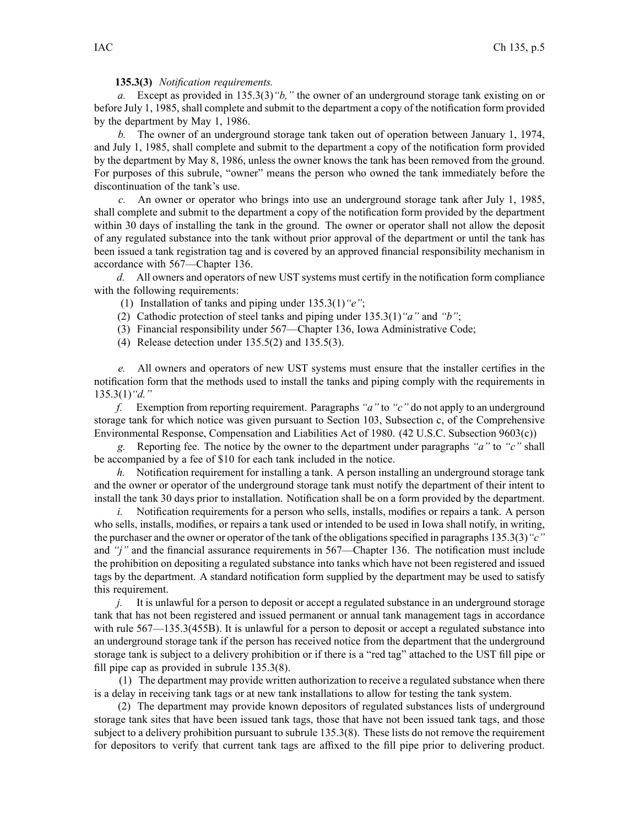**135.3(3)** *Notification requirements.*

*a.* Except as provided in 135.3(3)*"b,"* the owner of an underground storage tank existing on or before July 1, 1985, shall complete and submit to the department <sup>a</sup> copy of the notification form provided by the department by May 1, 1986.

*b.* The owner of an underground storage tank taken out of operation between January 1, 1974, and July 1, 1985, shall complete and submit to the department <sup>a</sup> copy of the notification form provided by the department by May 8, 1986, unless the owner knows the tank has been removed from the ground. For purposes of this subrule, "owner" means the person who owned the tank immediately before the discontinuation of the tank's use.

*c.* An owner or operator who brings into use an underground storage tank after July 1, 1985, shall complete and submit to the department <sup>a</sup> copy of the notification form provided by the department within 30 days of installing the tank in the ground. The owner or operator shall not allow the deposit of any regulated substance into the tank without prior approval of the department or until the tank has been issued <sup>a</sup> tank registration tag and is covered by an approved financial responsibility mechanism in accordance with 567—Chapter 136.

*d.* All owners and operators of new UST systems must certify in the notification form compliance with the following requirements:

- (1) Installation of tanks and piping under 135.3(1)*"e"*;
- (2) Cathodic protection of steel tanks and piping under 135.3(1)*"a"* and *"b"*;
- (3) Financial responsibility under 567—Chapter 136, Iowa Administrative Code;
- (4) Release detection under 135.5(2) and 135.5(3).

*e.* All owners and operators of new UST systems must ensure that the installer certifies in the notification form that the methods used to install the tanks and piping comply with the requirements in 135.3(1)*"d."*

*f.* Exemption from reporting requirement. Paragraphs *"a"* to *"c"* do not apply to an underground storage tank for which notice was given pursuan<sup>t</sup> to Section 103, Subsection c, of the Comprehensive Environmental Response, Compensation and Liabilities Act of 1980. (42 U.S.C. Subsection 9603(c))

*g.* Reporting fee. The notice by the owner to the department under paragraphs *"a"* to *"c"* shall be accompanied by <sup>a</sup> fee of \$10 for each tank included in the notice.

*h.* Notification requirement for installing a tank. A person installing an underground storage tank and the owner or operator of the underground storage tank must notify the department of their intent to install the tank 30 days prior to installation. Notification shall be on <sup>a</sup> form provided by the department.

*i.* Notification requirements for a person who sells, installs, modifies or repairs a tank. A person who sells, installs, modifies, or repairs <sup>a</sup> tank used or intended to be used in Iowa shall notify, in writing, the purchaser and the owner or operator of the tank of the obligationsspecified in paragraphs 135.3(3)*"c"* and *"j"* and the financial assurance requirements in 567—Chapter 136. The notification must include the prohibition on depositing <sup>a</sup> regulated substance into tanks which have not been registered and issued tags by the department. A standard notification form supplied by the department may be used to satisfy this requirement.

*j.* It is unlawful for a person to deposit or accept a regulated substance in an underground storage tank that has not been registered and issued permanen<sup>t</sup> or annual tank managemen<sup>t</sup> tags in accordance with rule 567—135.3(455B). It is unlawful for a person to deposit or accept a regulated substance into an underground storage tank if the person has received notice from the department that the underground storage tank is subject to <sup>a</sup> delivery prohibition or if there is <sup>a</sup> "red tag" attached to the UST fill pipe or fill pipe cap as provided in subrule 135.3(8).

(1) The department may provide written authorization to receive <sup>a</sup> regulated substance when there is <sup>a</sup> delay in receiving tank tags or at new tank installations to allow for testing the tank system.

(2) The department may provide known depositors of regulated substances lists of underground storage tank sites that have been issued tank tags, those that have not been issued tank tags, and those subject to <sup>a</sup> delivery prohibition pursuan<sup>t</sup> to subrule 135.3(8). These lists do not remove the requirement for depositors to verify that current tank tags are affixed to the fill pipe prior to delivering product.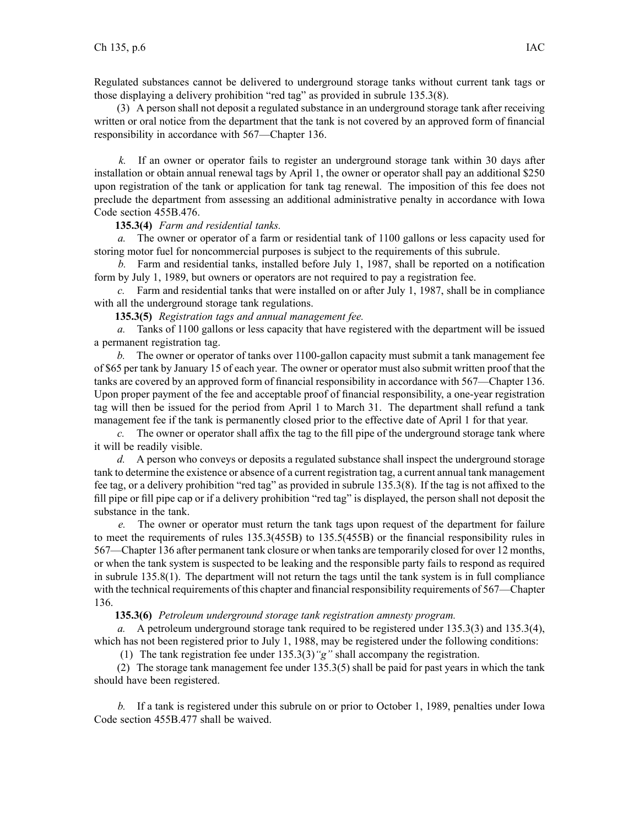Regulated substances cannot be delivered to underground storage tanks without current tank tags or those displaying <sup>a</sup> delivery prohibition "red tag" as provided in subrule 135.3(8).

(3) A person shall not deposit <sup>a</sup> regulated substance in an underground storage tank after receiving written or oral notice from the department that the tank is not covered by an approved form of financial responsibility in accordance with 567—Chapter 136.

*k.* If an owner or operator fails to register an underground storage tank within 30 days after installation or obtain annual renewal tags by April 1, the owner or operator shall pay an additional \$250 upon registration of the tank or application for tank tag renewal. The imposition of this fee does not preclude the department from assessing an additional administrative penalty in accordance with Iowa Code section 455B.476.

## **135.3(4)** *Farm and residential tanks.*

*a.* The owner or operator of <sup>a</sup> farm or residential tank of 1100 gallons or less capacity used for storing motor fuel for noncommercial purposes is subject to the requirements of this subrule.

*b.* Farm and residential tanks, installed before July 1, 1987, shall be reported on <sup>a</sup> notification form by July 1, 1989, but owners or operators are not required to pay <sup>a</sup> registration fee.

*c.* Farm and residential tanks that were installed on or after July 1, 1987, shall be in compliance with all the underground storage tank regulations.

**135.3(5)** *Registration tags and annual managemen<sup>t</sup> fee.*

*a.* Tanks of 1100 gallons or less capacity that have registered with the department will be issued <sup>a</sup> permanen<sup>t</sup> registration tag.

*b.* The owner or operator of tanks over 1100-gallon capacity must submit <sup>a</sup> tank managemen<sup>t</sup> fee of \$65 per tank by January 15 of each year. The owner or operator must also submit written proof that the tanks are covered by an approved form of financial responsibility in accordance with 567—Chapter 136. Upon proper paymen<sup>t</sup> of the fee and acceptable proof of financial responsibility, <sup>a</sup> one-year registration tag will then be issued for the period from April 1 to March 31. The department shall refund <sup>a</sup> tank managemen<sup>t</sup> fee if the tank is permanently closed prior to the effective date of April 1 for that year.

*c.* The owner or operator shall affix the tag to the fill pipe of the underground storage tank where it will be readily visible.

*d.* A person who conveys or deposits <sup>a</sup> regulated substance shall inspect the underground storage tank to determine the existence or absence of <sup>a</sup> current registration tag, <sup>a</sup> current annual tank managemen<sup>t</sup> fee tag, or <sup>a</sup> delivery prohibition "red tag" as provided in subrule 135.3(8). If the tag is not affixed to the fill pipe or fill pipe cap or if <sup>a</sup> delivery prohibition "red tag" is displayed, the person shall not deposit the substance in the tank.

*e.* The owner or operator must return the tank tags upon reques<sup>t</sup> of the department for failure to meet the requirements of rules 135.3(455B) to 135.5(455B) or the financial responsibility rules in 567—Chapter 136 after permanen<sup>t</sup> tank closure or when tanks are temporarily closed for over 12 months, or when the tank system is suspected to be leaking and the responsible party fails to respond as required in subrule 135.8(1). The department will not return the tags until the tank system is in full compliance with the technical requirements of this chapter and financial responsibility requirements of 567—Chapter 136.

**135.3(6)** *Petroleum underground storage tank registration amnesty program.*

*a.* A petroleum underground storage tank required to be registered under 135.3(3) and 135.3(4), which has not been registered prior to July 1, 1988, may be registered under the following conditions:

(1) The tank registration fee under 135.3(3)*"g"* shall accompany the registration.

(2) The storage tank managemen<sup>t</sup> fee under 135.3(5) shall be paid for pas<sup>t</sup> years in which the tank should have been registered.

*b.* If <sup>a</sup> tank is registered under this subrule on or prior to October 1, 1989, penalties under Iowa Code section 455B.477 shall be waived.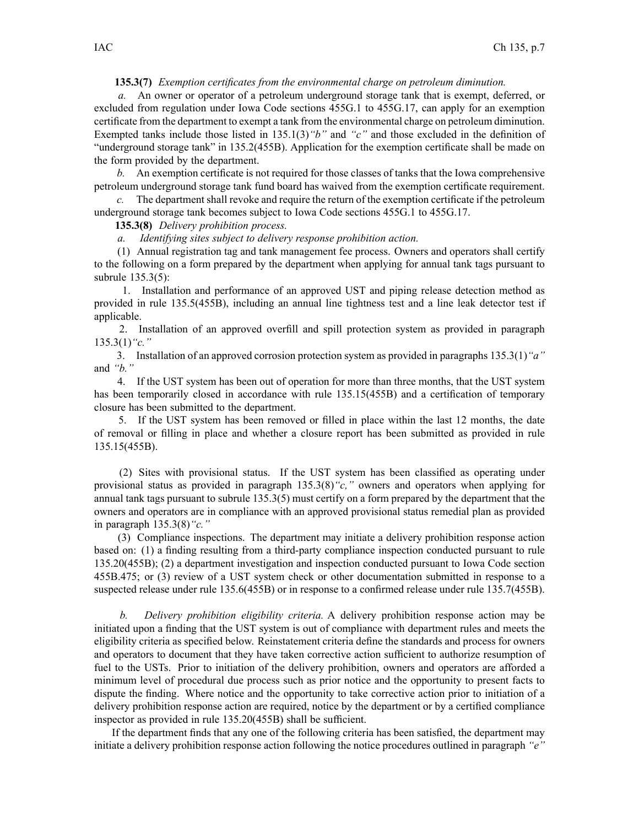# **135.3(7)** *Exemption certificates from the environmental charge on petroleum diminution.*

*a.* An owner or operator of <sup>a</sup> petroleum underground storage tank that is exempt, deferred, or excluded from regulation under Iowa Code sections 455G.1 to 455G.17, can apply for an exemption certificate from the department to exemp<sup>t</sup> <sup>a</sup> tank from the environmental charge on petroleum diminution. Exempted tanks include those listed in 135.1(3)*"b"* and *"c"* and those excluded in the definition of "underground storage tank" in 135.2(455B). Application for the exemption certificate shall be made on the form provided by the department.

*b.* An exemption certificate is not required for those classes of tanks that the Iowa comprehensive petroleum underground storage tank fund board has waived from the exemption certificate requirement.

*c.* The department shall revoke and require the return of the exemption certificate if the petroleum underground storage tank becomes subject to Iowa Code sections 455G.1 to 455G.17.

# **135.3(8)** *Delivery prohibition process.*

*a. Identifying sites subject to delivery response prohibition action.*

(1) Annual registration tag and tank managemen<sup>t</sup> fee process. Owners and operators shall certify to the following on <sup>a</sup> form prepared by the department when applying for annual tank tags pursuan<sup>t</sup> to subrule 135.3(5):

1. Installation and performance of an approved UST and piping release detection method as provided in rule 135.5(455B), including an annual line tightness test and <sup>a</sup> line leak detector test if applicable.

2. Installation of an approved overfill and spill protection system as provided in paragraph 135.3(1)*"c."*

3. Installation of an approved corrosion protection system as provided in paragraphs 135.3(1)*"a"* and *"b."*

4. If the UST system has been out of operation for more than three months, that the UST system has been temporarily closed in accordance with rule 135.15(455B) and a certification of temporary closure has been submitted to the department.

5. If the UST system has been removed or filled in place within the last 12 months, the date of removal or filling in place and whether <sup>a</sup> closure repor<sup>t</sup> has been submitted as provided in rule 135.15(455B).

(2) Sites with provisional status. If the UST system has been classified as operating under provisional status as provided in paragraph 135.3(8)*"c,"* owners and operators when applying for annual tank tags pursuan<sup>t</sup> to subrule 135.3(5) must certify on <sup>a</sup> form prepared by the department that the owners and operators are in compliance with an approved provisional status remedial plan as provided in paragraph 135.3(8)*"c."*

(3) Compliance inspections. The department may initiate <sup>a</sup> delivery prohibition response action based on: (1) <sup>a</sup> finding resulting from <sup>a</sup> third-party compliance inspection conducted pursuan<sup>t</sup> to rule 135.20(455B); (2) <sup>a</sup> department investigation and inspection conducted pursuan<sup>t</sup> to Iowa Code section 455B.475; or (3) review of <sup>a</sup> UST system check or other documentation submitted in response to <sup>a</sup> suspected release under rule 135.6(455B) or in response to a confirmed release under rule 135.7(455B).

*b. Delivery prohibition eligibility criteria.* A delivery prohibition response action may be initiated upon <sup>a</sup> finding that the UST system is out of compliance with department rules and meets the eligibility criteria as specified below. Reinstatement criteria define the standards and process for owners and operators to document that they have taken corrective action sufficient to authorize resumption of fuel to the USTs. Prior to initiation of the delivery prohibition, owners and operators are afforded <sup>a</sup> minimum level of procedural due process such as prior notice and the opportunity to presen<sup>t</sup> facts to dispute the finding. Where notice and the opportunity to take corrective action prior to initiation of <sup>a</sup> delivery prohibition response action are required, notice by the department or by <sup>a</sup> certified compliance inspector as provided in rule 135.20(455B) shall be sufficient.

If the department finds that any one of the following criteria has been satisfied, the department may initiate <sup>a</sup> delivery prohibition response action following the notice procedures outlined in paragraph *"e"*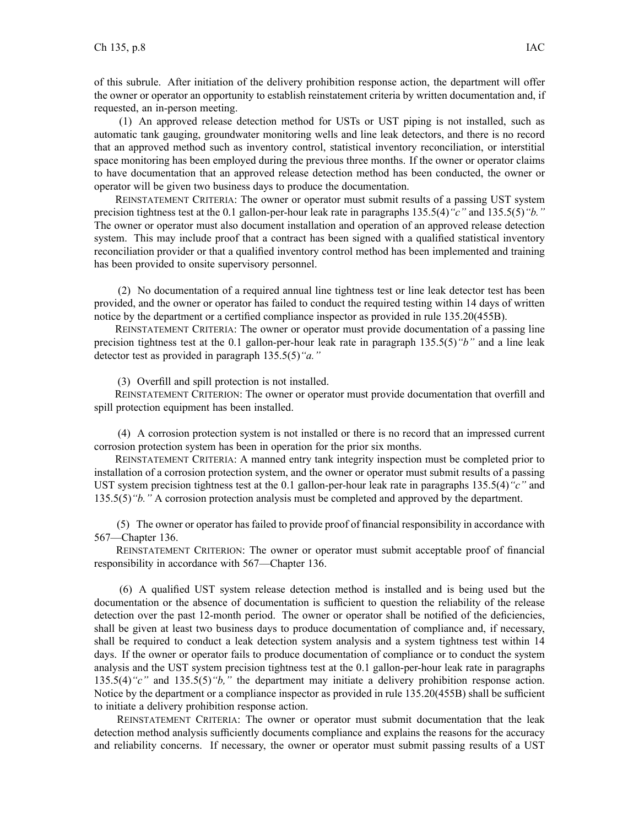of this subrule. After initiation of the delivery prohibition response action, the department will offer the owner or operator an opportunity to establish reinstatement criteria by written documentation and, if requested, an in-person meeting.

(1) An approved release detection method for USTs or UST piping is not installed, such as automatic tank gauging, groundwater monitoring wells and line leak detectors, and there is no record that an approved method such as inventory control, statistical inventory reconciliation, or interstitial space monitoring has been employed during the previous three months. If the owner or operator claims to have documentation that an approved release detection method has been conducted, the owner or operator will be given two business days to produce the documentation.

REINSTATEMENT CRITERIA: The owner or operator must submit results of <sup>a</sup> passing UST system precision tightness test at the 0.1 gallon-per-hour leak rate in paragraphs 135.5(4)*"c"* and 135.5(5)*"b."* The owner or operator must also document installation and operation of an approved release detection system. This may include proof that <sup>a</sup> contract has been signed with <sup>a</sup> qualified statistical inventory reconciliation provider or that <sup>a</sup> qualified inventory control method has been implemented and training has been provided to onsite supervisory personnel.

(2) No documentation of <sup>a</sup> required annual line tightness test or line leak detector test has been provided, and the owner or operator has failed to conduct the required testing within 14 days of written notice by the department or <sup>a</sup> certified compliance inspector as provided in rule 135.20(455B).

REINSTATEMENT CRITERIA: The owner or operator must provide documentation of <sup>a</sup> passing line precision tightness test at the 0.1 gallon-per-hour leak rate in paragraph 135.5(5)*"b"* and <sup>a</sup> line leak detector test as provided in paragraph 135.5(5)*"a."*

(3) Overfill and spill protection is not installed.

REINSTATEMENT CRITERION: The owner or operator must provide documentation that overfill and spill protection equipment has been installed.

(4) A corrosion protection system is not installed or there is no record that an impressed current corrosion protection system has been in operation for the prior six months.

REINSTATEMENT CRITERIA: A manned entry tank integrity inspection must be completed prior to installation of <sup>a</sup> corrosion protection system, and the owner or operator must submit results of <sup>a</sup> passing UST system precision tightness test at the 0.1 gallon-per-hour leak rate in paragraphs 135.5(4)*"c"* and 135.5(5)*"b."* A corrosion protection analysis must be completed and approved by the department.

(5) The owner or operator has failed to provide proof of financial responsibility in accordance with 567—Chapter 136.

REINSTATEMENT CRITERION: The owner or operator must submit acceptable proof of financial responsibility in accordance with 567—Chapter 136.

(6) A qualified UST system release detection method is installed and is being used but the documentation or the absence of documentation is sufficient to question the reliability of the release detection over the past 12-month period. The owner or operator shall be notified of the deficiencies, shall be given at least two business days to produce documentation of compliance and, if necessary, shall be required to conduct <sup>a</sup> leak detection system analysis and <sup>a</sup> system tightness test within 14 days. If the owner or operator fails to produce documentation of compliance or to conduct the system analysis and the UST system precision tightness test at the 0.1 gallon-per-hour leak rate in paragraphs 135.5(4)*"c"* and 135.5(5)*"b,"* the department may initiate <sup>a</sup> delivery prohibition response action. Notice by the department or <sup>a</sup> compliance inspector as provided in rule 135.20(455B) shall be sufficient to initiate <sup>a</sup> delivery prohibition response action.

REINSTATEMENT CRITERIA: The owner or operator must submit documentation that the leak detection method analysis sufficiently documents compliance and explains the reasons for the accuracy and reliability concerns. If necessary, the owner or operator must submit passing results of <sup>a</sup> UST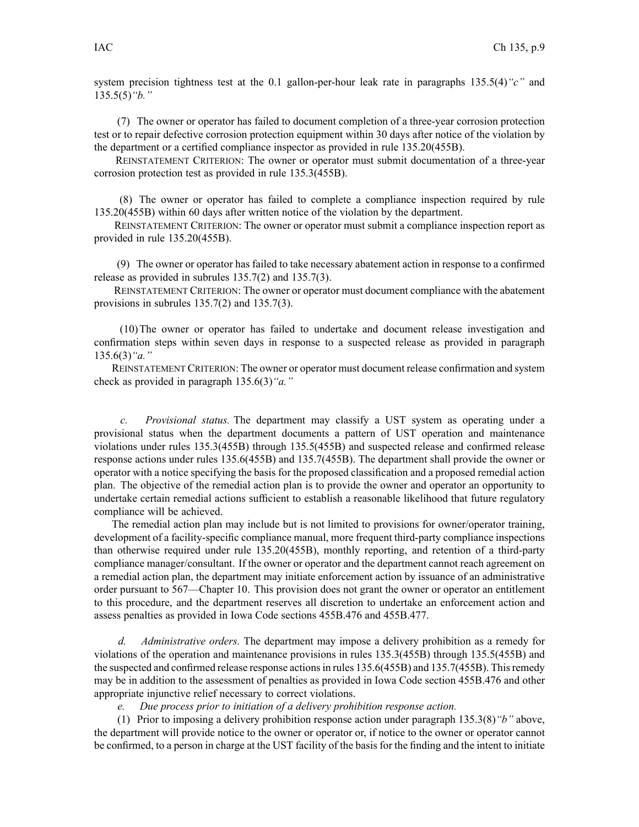system precision tightness test at the 0.1 gallon-per-hour leak rate in paragraphs 135.5(4)*"c"* and 135.5(5)*"b."*

(7) The owner or operator has failed to document completion of <sup>a</sup> three-year corrosion protection test or to repair defective corrosion protection equipment within 30 days after notice of the violation by the department or <sup>a</sup> certified compliance inspector as provided in rule 135.20(455B).

REINSTATEMENT CRITERION: The owner or operator must submit documentation of <sup>a</sup> three-year corrosion protection test as provided in rule 135.3(455B).

(8) The owner or operator has failed to complete <sup>a</sup> compliance inspection required by rule 135.20(455B) within 60 days after written notice of the violation by the department.

REINSTATEMENT CRITERION: The owner or operator must submit <sup>a</sup> compliance inspection repor<sup>t</sup> as provided in rule 135.20(455B).

(9) The owner or operator has failed to take necessary abatement action in response to <sup>a</sup> confirmed release as provided in subrules 135.7(2) and 135.7(3).

REINSTATEMENT CRITERION: The owner or operator must document compliance with the abatement provisions in subrules 135.7(2) and 135.7(3).

(10)The owner or operator has failed to undertake and document release investigation and confirmation steps within seven days in response to <sup>a</sup> suspected release as provided in paragraph 135.6(3)*"a."*

REINSTATEMENT CRITERION: The owner or operator must document release confirmation and system check as provided in paragraph 135.6(3)*"a."*

*c. Provisional status.* The department may classify <sup>a</sup> UST system as operating under <sup>a</sup> provisional status when the department documents <sup>a</sup> pattern of UST operation and maintenance violations under rules 135.3(455B) through 135.5(455B) and suspected release and confirmed release response actions under rules 135.6(455B) and 135.7(455B). The department shall provide the owner or operator with <sup>a</sup> notice specifying the basis for the proposed classification and <sup>a</sup> proposed remedial action plan. The objective of the remedial action plan is to provide the owner and operator an opportunity to undertake certain remedial actions sufficient to establish <sup>a</sup> reasonable likelihood that future regulatory compliance will be achieved.

The remedial action plan may include but is not limited to provisions for owner/operator training, development of <sup>a</sup> facility-specific compliance manual, more frequent third-party compliance inspections than otherwise required under rule 135.20(455B), monthly reporting, and retention of <sup>a</sup> third-party compliance manager/consultant. If the owner or operator and the department cannot reach agreemen<sup>t</sup> on <sup>a</sup> remedial action plan, the department may initiate enforcement action by issuance of an administrative order pursuan<sup>t</sup> to 567—Chapter 10. This provision does not gran<sup>t</sup> the owner or operator an entitlement to this procedure, and the department reserves all discretion to undertake an enforcement action and assess penalties as provided in Iowa Code sections 455B.476 and 455B.477.

*d. Administrative orders.* The department may impose <sup>a</sup> delivery prohibition as <sup>a</sup> remedy for violations of the operation and maintenance provisions in rules 135.3(455B) through 135.5(455B) and the suspected and confirmed release response actionsin rules 135.6(455B) and 135.7(455B). Thisremedy may be in addition to the assessment of penalties as provided in Iowa Code section 455B.476 and other appropriate injunctive relief necessary to correct violations.

*e. Due process prior to initiation of <sup>a</sup> delivery prohibition response action.*

(1) Prior to imposing <sup>a</sup> delivery prohibition response action under paragraph 135.3(8)*"b"* above, the department will provide notice to the owner or operator or, if notice to the owner or operator cannot be confirmed, to <sup>a</sup> person in charge at the UST facility of the basis for the finding and the intent to initiate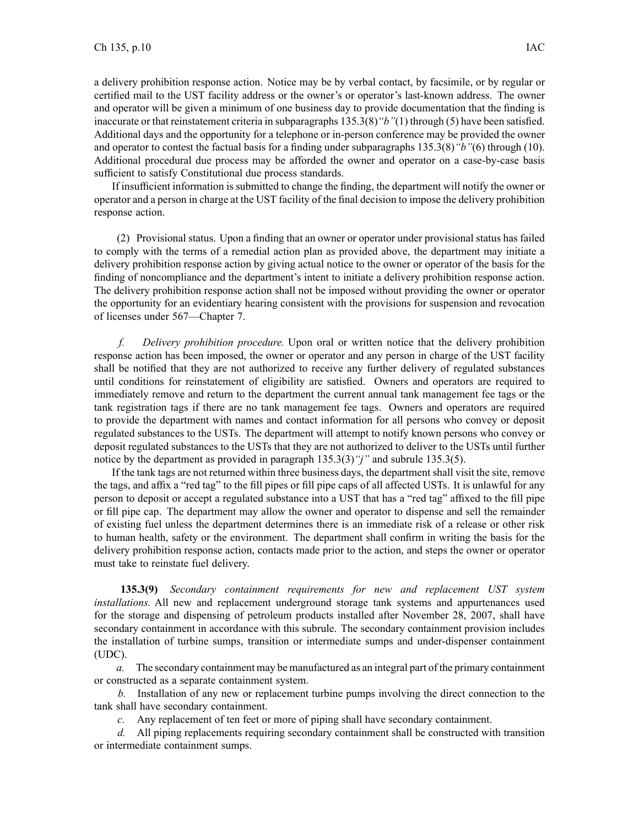<sup>a</sup> delivery prohibition response action. Notice may be by verbal contact, by facsimile, or by regular or certified mail to the UST facility address or the owner's or operator's last-known address. The owner and operator will be given <sup>a</sup> minimum of one business day to provide documentation that the finding is inaccurate or that reinstatement criteria in subparagraphs 135.3(8)*"b"*(1) through (5) have been satisfied. Additional days and the opportunity for <sup>a</sup> telephone or in-person conference may be provided the owner and operator to contest the factual basis for <sup>a</sup> finding under subparagraphs 135.3(8)*"b"*(6) through (10). Additional procedural due process may be afforded the owner and operator on <sup>a</sup> case-by-case basis sufficient to satisfy Constitutional due process standards.

If insufficient information is submitted to change the finding, the department will notify the owner or operator and <sup>a</sup> person in charge at the UST facility of the final decision to impose the delivery prohibition response action.

(2) Provisional status. Upon <sup>a</sup> finding that an owner or operator under provisional status has failed to comply with the terms of <sup>a</sup> remedial action plan as provided above, the department may initiate <sup>a</sup> delivery prohibition response action by giving actual notice to the owner or operator of the basis for the finding of noncompliance and the department's intent to initiate <sup>a</sup> delivery prohibition response action. The delivery prohibition response action shall not be imposed without providing the owner or operator the opportunity for an evidentiary hearing consistent with the provisions for suspension and revocation of licenses under 567—Chapter 7.

*f. Delivery prohibition procedure.* Upon oral or written notice that the delivery prohibition response action has been imposed, the owner or operator and any person in charge of the UST facility shall be notified that they are not authorized to receive any further delivery of regulated substances until conditions for reinstatement of eligibility are satisfied. Owners and operators are required to immediately remove and return to the department the current annual tank managemen<sup>t</sup> fee tags or the tank registration tags if there are no tank managemen<sup>t</sup> fee tags. Owners and operators are required to provide the department with names and contact information for all persons who convey or deposit regulated substances to the USTs. The department will attempt to notify known persons who convey or deposit regulated substances to the USTs that they are not authorized to deliver to the USTs until further notice by the department as provided in paragraph 135.3(3)*"j"* and subrule 135.3(5).

If the tank tags are not returned within three business days, the department shall visit the site, remove the tags, and affix <sup>a</sup> "red tag" to the fill pipes or fill pipe caps of all affected USTs. It is unlawful for any person to deposit or accep<sup>t</sup> <sup>a</sup> regulated substance into <sup>a</sup> UST that has <sup>a</sup> "red tag" affixed to the fill pipe or fill pipe cap. The department may allow the owner and operator to dispense and sell the remainder of existing fuel unless the department determines there is an immediate risk of <sup>a</sup> release or other risk to human health, safety or the environment. The department shall confirm in writing the basis for the delivery prohibition response action, contacts made prior to the action, and steps the owner or operator must take to reinstate fuel delivery.

**135.3(9)** *Secondary containment requirements for new and replacement UST system installations.* All new and replacement underground storage tank systems and appurtenances used for the storage and dispensing of petroleum products installed after November 28, 2007, shall have secondary containment in accordance with this subrule. The secondary containment provision includes the installation of turbine sumps, transition or intermediate sumps and under-dispenser containment (UDC).

*a.* The secondary containment may be manufactured as an integral par<sup>t</sup> of the primary containment or constructed as <sup>a</sup> separate containment system.

*b.* Installation of any new or replacement turbine pumps involving the direct connection to the tank shall have secondary containment.

*c.* Any replacement of ten feet or more of piping shall have secondary containment.

*d.* All piping replacements requiring secondary containment shall be constructed with transition or intermediate containment sumps.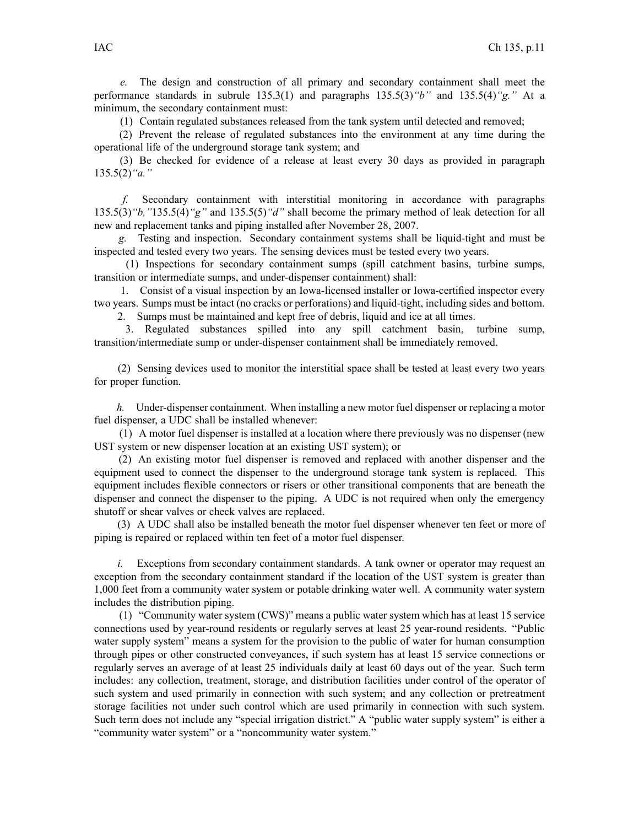*e.* The design and construction of all primary and secondary containment shall meet the performance standards in subrule 135.3(1) and paragraphs 135.5(3)*"b"* and 135.5(4)*"g."* At <sup>a</sup> minimum, the secondary containment must:

(1) Contain regulated substances released from the tank system until detected and removed;

(2) Prevent the release of regulated substances into the environment at any time during the operational life of the underground storage tank system; and

(3) Be checked for evidence of <sup>a</sup> release at least every 30 days as provided in paragraph 135.5(2)*"a."*

*f.* Secondary containment with interstitial monitoring in accordance with paragraphs 135.5(3)*"b,"*135.5(4)*"g"* and 135.5(5)*"d"* shall become the primary method of leak detection for all new and replacement tanks and piping installed after November 28, 2007.

*g.* Testing and inspection. Secondary containment systems shall be liquid-tight and must be inspected and tested every two years. The sensing devices must be tested every two years.

(1) Inspections for secondary containment sumps (spill catchment basins, turbine sumps, transition or intermediate sumps, and under-dispenser containment) shall:

1. Consist of <sup>a</sup> visual inspection by an Iowa-licensed installer or Iowa-certified inspector every two years. Sumps must be intact (no cracks or perforations) and liquid-tight, including sides and bottom.

2. Sumps must be maintained and kept free of debris, liquid and ice at all times.

3. Regulated substances spilled into any spill catchment basin, turbine sump, transition/intermediate sump or under-dispenser containment shall be immediately removed.

(2) Sensing devices used to monitor the interstitial space shall be tested at least every two years for proper function.

*h.* Under-dispenser containment. When installing <sup>a</sup> new motor fuel dispenser or replacing <sup>a</sup> motor fuel dispenser, <sup>a</sup> UDC shall be installed whenever:

(1) A motor fuel dispenser is installed at <sup>a</sup> location where there previously was no dispenser (new UST system or new dispenser location at an existing UST system); or

(2) An existing motor fuel dispenser is removed and replaced with another dispenser and the equipment used to connect the dispenser to the underground storage tank system is replaced. This equipment includes flexible connectors or risers or other transitional components that are beneath the dispenser and connect the dispenser to the piping. A UDC is not required when only the emergency shutoff or shear valves or check valves are replaced.

(3) A UDC shall also be installed beneath the motor fuel dispenser whenever ten feet or more of piping is repaired or replaced within ten feet of <sup>a</sup> motor fuel dispenser.

*i.* Exceptions from secondary containment standards. A tank owner or operator may request an exception from the secondary containment standard if the location of the UST system is greater than 1,000 feet from <sup>a</sup> community water system or potable drinking water well. A community water system includes the distribution piping.

(1) "Community water system (CWS)" means <sup>a</sup> public water system which has at least 15 service connections used by year-round residents or regularly serves at least 25 year-round residents. "Public water supply system" means <sup>a</sup> system for the provision to the public of water for human consumption through pipes or other constructed conveyances, if such system has at least 15 service connections or regularly serves an average of at least 25 individuals daily at least 60 days out of the year. Such term includes: any collection, treatment, storage, and distribution facilities under control of the operator of such system and used primarily in connection with such system; and any collection or pretreatment storage facilities not under such control which are used primarily in connection with such system. Such term does not include any "special irrigation district." A "public water supply system" is either <sup>a</sup> "community water system" or <sup>a</sup> "noncommunity water system."